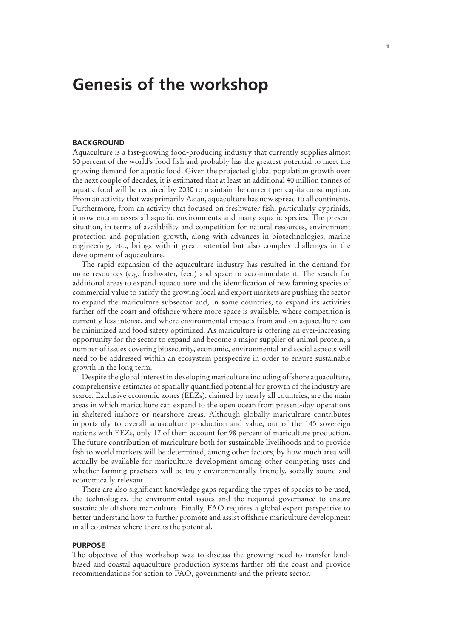## **Genesis of the workshop**

## **BACKGROUND**

Aquaculture is a fast-growing food-producing industry that currently supplies almost 50 percent of the world's food fish and probably has the greatest potential to meet the growing demand for aquatic food. Given the projected global population growth over the next couple of decades, it is estimated that at least an additional 40 million tonnes of aquatic food will be required by 2030 to maintain the current per capita consumption. From an activity that was primarily Asian, aquaculture has now spread to all continents. Furthermore, from an activity that focused on freshwater fish, particularly cyprinids, it now encompasses all aquatic environments and many aquatic species. The present situation, in terms of availability and competition for natural resources, environment protection and population growth, along with advances in biotechnologies, marine engineering, etc., brings with it great potential but also complex challenges in the development of aquaculture.

The rapid expansion of the aquaculture industry has resulted in the demand for more resources (e.g. freshwater, feed) and space to accommodate it. The search for additional areas to expand aquaculture and the identification of new farming species of commercial value to satisfy the growing local and export markets are pushing the sector to expand the mariculture subsector and, in some countries, to expand its activities farther off the coast and offshore where more space is available, where competition is currently less intense, and where environmental impacts from and on aquaculture can be minimized and food safety optimized. As mariculture is offering an ever-increasing opportunity for the sector to expand and become a major supplier of animal protein, a number of issues covering biosecurity, economic, environmental and social aspects will need to be addressed within an ecosystem perspective in order to ensure sustainable growth in the long term.

Despite the global interest in developing mariculture including offshore aquaculture, comprehensive estimates of spatially quantified potential for growth of the industry are scarce. Exclusive economic zones (EEZs), claimed by nearly all countries, are the main areas in which mariculture can expand to the open ocean from present-day operations in sheltered inshore or nearshore areas. Although globally mariculture contributes importantly to overall aquaculture production and value, out of the 145 sovereign nations with EEZs, only 17 of them account for 98 percent of mariculture production. The future contribution of mariculture both for sustainable livelihoods and to provide fish to world markets will be determined, among other factors, by how much area will actually be available for mariculture development among other competing uses and whether farming practices will be truly environmentally friendly, socially sound and economically relevant.

There are also significant knowledge gaps regarding the types of species to be used, the technologies, the environmental issues and the required governance to ensure sustainable offshore mariculture. Finally, FAO requires a global expert perspective to better understand how to further promote and assist offshore mariculture development in all countries where there is the potential.

## **PURPOSE**

The objective of this workshop was to discuss the growing need to transfer landbased and coastal aquaculture production systems farther off the coast and provide recommendations for action to FAO, governments and the private sector.